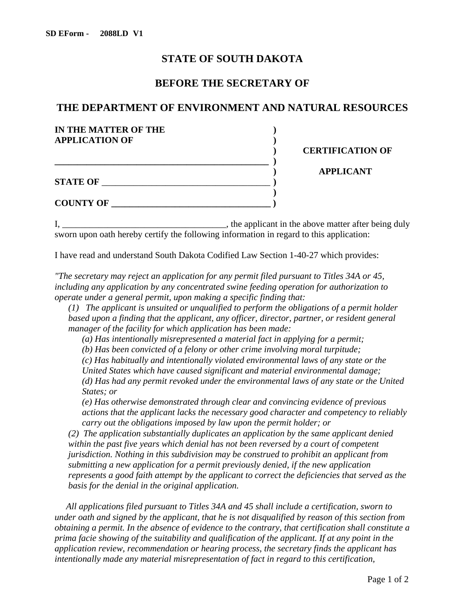## **STATE OF SOUTH DAKOTA**

## **BEFORE THE SECRETARY OF**

## **THE DEPARTMENT OF ENVIRONMENT AND NATURAL RESOURCES**

| IN THE MATTER OF THE  |                         |
|-----------------------|-------------------------|
| <b>APPLICATION OF</b> |                         |
|                       | <b>CERTIFICATION OF</b> |
|                       |                         |
|                       | <b>APPLICANT</b>        |
| <b>STATE OF</b>       |                         |
|                       |                         |
| <b>COUNTY OF</b>      |                         |
|                       |                         |

I, \_\_\_\_\_\_\_\_\_\_\_\_\_\_\_\_\_\_\_\_\_\_\_\_\_\_\_\_\_\_\_\_\_\_\_\_, the applicant in the above matter after being duly sworn upon oath hereby certify the following information in regard to this application:

I have read and understand South Dakota Codified Law Section 1-40-27 which provides:

*"The secretary may reject an application for any permit filed pursuant to Titles 34A or 45, including any application by any concentrated swine feeding operation for authorization to operate under a general permit, upon making a specific finding that:* 

*(1) The applicant is unsuited or unqualified to perform the obligations of a permit holder based upon a finding that the applicant, any officer, director, partner, or resident general manager of the facility for which application has been made:*

*(a) Has intentionally misrepresented a material fact in applying for a permit;*

*(b) Has been convicted of a felony or other crime involving moral turpitude;*

*(c) Has habitually and intentionally violated environmental laws of any state or the* 

*United States which have caused significant and material environmental damage; (d) Has had any permit revoked under the environmental laws of any state or the United States; or*

*(e) Has otherwise demonstrated through clear and convincing evidence of previous actions that the applicant lacks the necessary good character and competency to reliably carry out the obligations imposed by law upon the permit holder; or*

*(2) The application substantially duplicates an application by the same applicant denied within the past five years which denial has not been reversed by a court of competent jurisdiction. Nothing in this subdivision may be construed to prohibit an applicant from submitting a new application for a permit previously denied, if the new application represents a good faith attempt by the applicant to correct the deficiencies that served as the basis for the denial in the original application.*

*All applications filed pursuant to Titles 34A and 45 shall include a certification, sworn to under oath and signed by the applicant, that he is not disqualified by reason of this section from obtaining a permit. In the absence of evidence to the contrary, that certification shall constitute a prima facie showing of the suitability and qualification of the applicant. If at any point in the application review, recommendation or hearing process, the secretary finds the applicant has intentionally made any material misrepresentation of fact in regard to this certification,*